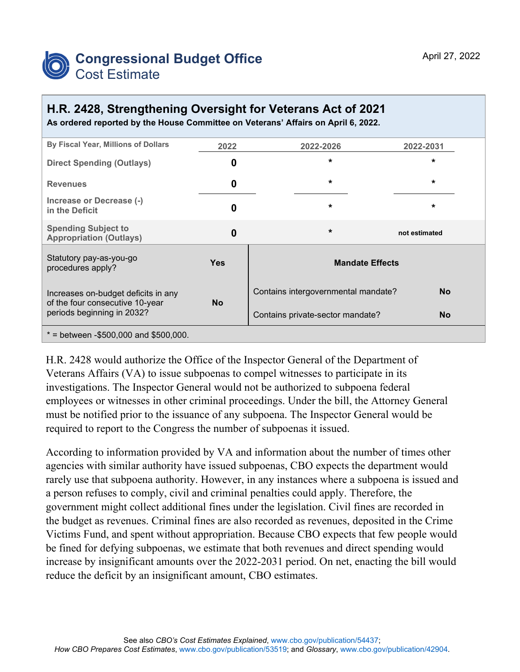

## **H.R. 2428, Strengthening Oversight for Veterans Act of 2021**

**As ordered reported by the House Committee on Veterans' Affairs on April 6, 2022.** 

| By Fiscal Year, Millions of Dollars                                                                  | 2022       | 2022-2026                           | 2022-2031     |
|------------------------------------------------------------------------------------------------------|------------|-------------------------------------|---------------|
| <b>Direct Spending (Outlays)</b>                                                                     | 0          | $\star$                             | $\star$       |
| <b>Revenues</b>                                                                                      | 0          | $\star$                             | $\star$       |
| Increase or Decrease (-)<br>in the Deficit                                                           | 0          | $\star$                             | $\star$       |
| <b>Spending Subject to</b><br><b>Appropriation (Outlays)</b>                                         | $\bf{0}$   | $\star$                             | not estimated |
| Statutory pay-as-you-go<br>procedures apply?                                                         | <b>Yes</b> | <b>Mandate Effects</b>              |               |
| Increases on-budget deficits in any<br>of the four consecutive 10-year<br>periods beginning in 2032? | <b>No</b>  | Contains intergovernmental mandate? | No.           |
|                                                                                                      |            | Contains private-sector mandate?    | <b>No</b>     |
| $*$ = between -\$500,000 and \$500,000.                                                              |            |                                     |               |

H.R. 2428 would authorize the Office of the Inspector General of the Department of Veterans Affairs (VA) to issue subpoenas to compel witnesses to participate in its investigations. The Inspector General would not be authorized to subpoena federal employees or witnesses in other criminal proceedings. Under the bill, the Attorney General must be notified prior to the issuance of any subpoena. The Inspector General would be required to report to the Congress the number of subpoenas it issued.

According to information provided by VA and information about the number of times other agencies with similar authority have issued subpoenas, CBO expects the department would rarely use that subpoena authority. However, in any instances where a subpoena is issued and a person refuses to comply, civil and criminal penalties could apply. Therefore, the government might collect additional fines under the legislation. Civil fines are recorded in the budget as revenues. Criminal fines are also recorded as revenues, deposited in the Crime Victims Fund, and spent without appropriation. Because CBO expects that few people would be fined for defying subpoenas, we estimate that both revenues and direct spending would increase by insignificant amounts over the 2022-2031 period. On net, enacting the bill would reduce the deficit by an insignificant amount, CBO estimates.